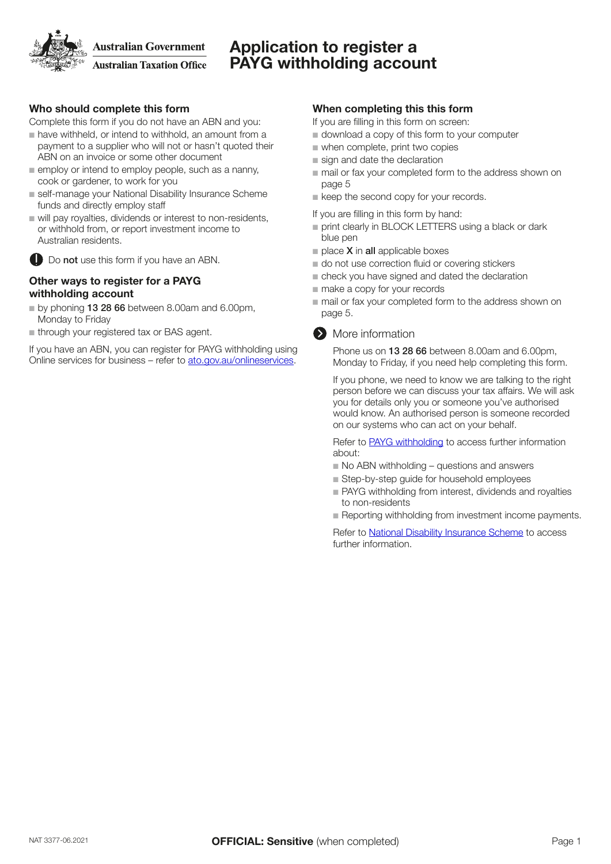## Application to register a PAYG withholding account

## Who should complete this form

Complete this form if you do not have an ABN and you:

- $\blacksquare$  have withheld, or intend to withhold, an amount from a payment to a supplier who will not or hasn't quoted their ABN on an invoice or some other document
- $\blacksquare$  employ or intend to employ people, such as a nanny, cook or gardener, to work for you
- self-manage your National Disability Insurance Scheme funds and directly employ staff
- $\blacksquare$  will pay royalties, dividends or interest to non-residents, or withhold from, or report investment income to Australian residents.



### Other ways to register for a PAYG withholding account

- by phoning 13 28 66 between 8.00am and 6.00pm, Monday to Friday
- $n$  through your registered tax or BAS agent.

If you have an ABN, you can register for PAYG withholding using Online services for business – refer to [ato.gov.au/onlineservices.](https://www.ato.gov.au/onlineservices)

## When completing this this form

- If you are filling in this form on screen:
- download a copy of this form to your computer
- when complete, print two copies
- sign and date the declaration
- mail or fax your completed form to the address shown on page 5
- keep the second copy for your records.
- If you are filling in this form by hand:
- print clearly in BLOCK LETTERS using a black or dark blue pen
- $\blacksquare$  place **X** in **all** applicable boxes
- do not use correction fluid or covering stickers
- check you have signed and dated the declaration
- make a copy for your records
- mail or fax your completed form to the address shown on page 5.



#### **More information**

Phone us on 13 28 66 between 8.00am and 6.00pm, Monday to Friday, if you need help completing this form.

If you phone, we need to know we are talking to the right person before we can discuss your tax affairs. We will ask you for details only you or someone you've authorised would know. An authorised person is someone recorded on our systems who can act on your behalf.

Refer to [PAYG withholding](http://ato.gov.au/Business/PAYG-withholding/) to access further information about:

- $\blacksquare$  No ABN withholding questions and answers
- $\blacksquare$  Step-by-step guide for household employees
- n PAYG withholding from interest, dividends and royalties to non-residents
- **n** Reporting withholding from investment income payments.

Refer to [National Disability Insurance Scheme](https://www.ato.gov.au/individuals/people-with-disability/national-disability-insurance-scheme/) to access further information.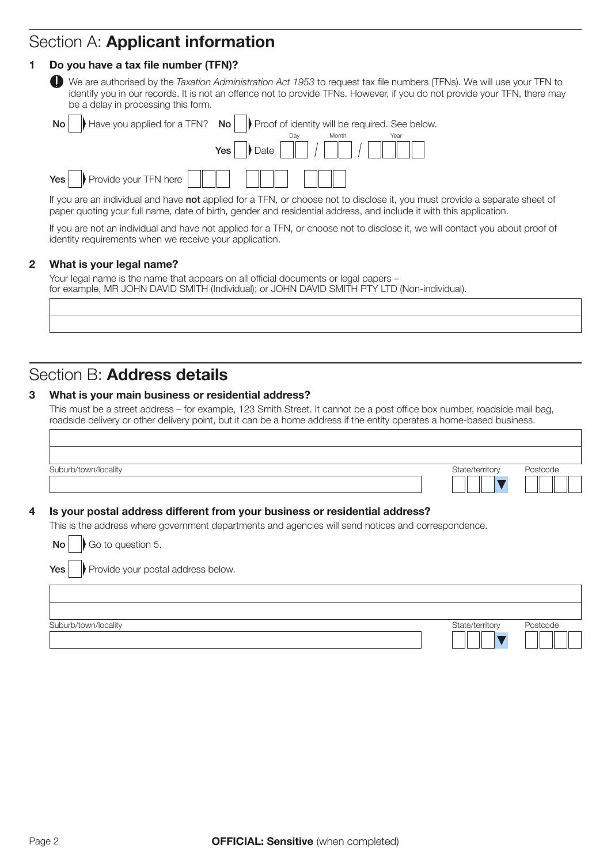## Section A: Applicant information

## 1 Do you have a tax file number (TFN)?

|  |  | ø | l |
|--|--|---|---|
|  |  |   |   |

 We are authorised by the *Taxation Administration Act 1953* to request tax file numbers (TFNs). We will use your TFN to identify you in our records. It is not an offence not to provide TFNs. However, if you do not provide your TFN, there may be a delay in processing this form.

|                                                                                   | No $\parallel$ Have you applied for a TFN? No $\parallel$ Proof of identity will be required. See below. |
|-----------------------------------------------------------------------------------|----------------------------------------------------------------------------------------------------------|
|                                                                                   | Month                                                                                                    |
|                                                                                   |                                                                                                          |
| Yes $\Box$ Provide your TFN here $\Box$ $\Box$ $\Box$ $\Box$ $\Box$ $\Box$ $\Box$ |                                                                                                          |

If you are an individual and have not applied for a TFN, or choose not to disclose it, you must provide a separate sheet of paper quoting your full name, date of birth, gender and residential address, and include it with this application.

If you are not an individual and have not applied for a TFN, or choose not to disclose it, we will contact you about proof of identity requirements when we receive your application.

## 2 What is your legal name?

Your legal name is the name that appears on all official documents or legal papers – for example, MR JOHN DAVID SMITH (Individual); or JOHN DAVID SMITH PTY LTD (Non-individual).

## Section B: Address details

### 3 What is your main business or residential address?

This must be a street address – for example, 123 Smith Street. It cannot be a post office box number, roadside mail bag, roadside delivery or other delivery point, but it can be a home address if the entity operates a home-based business.

| State/territory | Postcode |
|-----------------|----------|
|                 |          |

### 4 Is your postal address different from your business or residential address?

This is the address where government departments and agencies will send notices and correspondence.

| Go to question 5.<br>$\mathsf{No}$ |  |
|------------------------------------|--|
|------------------------------------|--|

 $Yes \rightarrow Pre$  Provide your postal address below.

| Suburb/town/locality | State/territory | Postcode |
|----------------------|-----------------|----------|
|----------------------|-----------------|----------|

Page 2 **OFFICIAL: Sensitive** (when completed)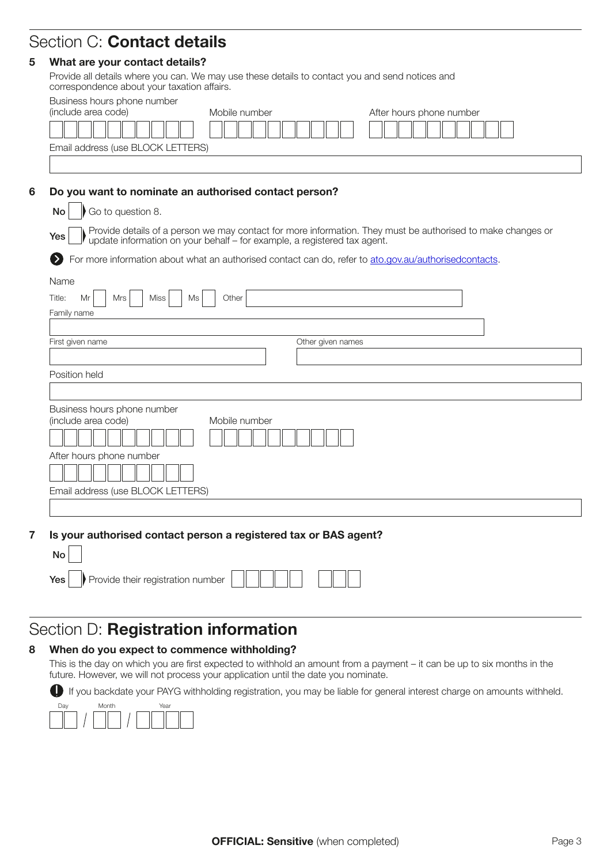## Section C: Contact details

## 5 What are your contact details?

Provide all details where you can. We may use these details to contact you and send notices and correspondence about your taxation affairs.

| (include area code)<br>Mobile number<br>After hours phone number<br>Email address (use BLOCK LETTERS)<br>Do you want to nominate an authorised contact person?<br>Go to question 8.<br><b>No</b><br>Provide details of a person we may contact for more information. They must be authorised to make changes or update information on your behalf – for example, a registered tax agent.<br>Yes<br>For more information about what an authorised contact can do, refer to ato.gov.au/authorisedcontacts.<br>Name<br>Title:<br>Mr<br><b>Mrs</b><br>Other<br>Miss<br>Ms<br>Family name<br>First given name<br>Other given names<br>Position held<br>Business hours phone number<br>(include area code)<br>Mobile number<br>After hours phone number<br>Email address (use BLOCK LETTERS) | Business hours phone number |  |
|----------------------------------------------------------------------------------------------------------------------------------------------------------------------------------------------------------------------------------------------------------------------------------------------------------------------------------------------------------------------------------------------------------------------------------------------------------------------------------------------------------------------------------------------------------------------------------------------------------------------------------------------------------------------------------------------------------------------------------------------------------------------------------------|-----------------------------|--|
|                                                                                                                                                                                                                                                                                                                                                                                                                                                                                                                                                                                                                                                                                                                                                                                        |                             |  |
|                                                                                                                                                                                                                                                                                                                                                                                                                                                                                                                                                                                                                                                                                                                                                                                        |                             |  |
|                                                                                                                                                                                                                                                                                                                                                                                                                                                                                                                                                                                                                                                                                                                                                                                        |                             |  |
|                                                                                                                                                                                                                                                                                                                                                                                                                                                                                                                                                                                                                                                                                                                                                                                        |                             |  |
|                                                                                                                                                                                                                                                                                                                                                                                                                                                                                                                                                                                                                                                                                                                                                                                        |                             |  |
|                                                                                                                                                                                                                                                                                                                                                                                                                                                                                                                                                                                                                                                                                                                                                                                        |                             |  |
|                                                                                                                                                                                                                                                                                                                                                                                                                                                                                                                                                                                                                                                                                                                                                                                        |                             |  |
|                                                                                                                                                                                                                                                                                                                                                                                                                                                                                                                                                                                                                                                                                                                                                                                        |                             |  |
|                                                                                                                                                                                                                                                                                                                                                                                                                                                                                                                                                                                                                                                                                                                                                                                        |                             |  |
|                                                                                                                                                                                                                                                                                                                                                                                                                                                                                                                                                                                                                                                                                                                                                                                        |                             |  |
|                                                                                                                                                                                                                                                                                                                                                                                                                                                                                                                                                                                                                                                                                                                                                                                        |                             |  |
|                                                                                                                                                                                                                                                                                                                                                                                                                                                                                                                                                                                                                                                                                                                                                                                        |                             |  |
|                                                                                                                                                                                                                                                                                                                                                                                                                                                                                                                                                                                                                                                                                                                                                                                        |                             |  |
|                                                                                                                                                                                                                                                                                                                                                                                                                                                                                                                                                                                                                                                                                                                                                                                        |                             |  |
|                                                                                                                                                                                                                                                                                                                                                                                                                                                                                                                                                                                                                                                                                                                                                                                        |                             |  |
|                                                                                                                                                                                                                                                                                                                                                                                                                                                                                                                                                                                                                                                                                                                                                                                        |                             |  |
|                                                                                                                                                                                                                                                                                                                                                                                                                                                                                                                                                                                                                                                                                                                                                                                        |                             |  |
|                                                                                                                                                                                                                                                                                                                                                                                                                                                                                                                                                                                                                                                                                                                                                                                        |                             |  |
|                                                                                                                                                                                                                                                                                                                                                                                                                                                                                                                                                                                                                                                                                                                                                                                        |                             |  |
|                                                                                                                                                                                                                                                                                                                                                                                                                                                                                                                                                                                                                                                                                                                                                                                        |                             |  |
|                                                                                                                                                                                                                                                                                                                                                                                                                                                                                                                                                                                                                                                                                                                                                                                        |                             |  |
|                                                                                                                                                                                                                                                                                                                                                                                                                                                                                                                                                                                                                                                                                                                                                                                        |                             |  |

7 Is your authorised contact person a registered tax or BAS agent?

# Section D: Registration information

## 8 When do you expect to commence withholding?

This is the day on which you are first expected to withhold an amount from a payment – it can be up to six months in the future. However, we will not process your application until the date you nominate.

If you backdate your PAYG withholding registration, you may be liable for general interest charge on amounts withheld.

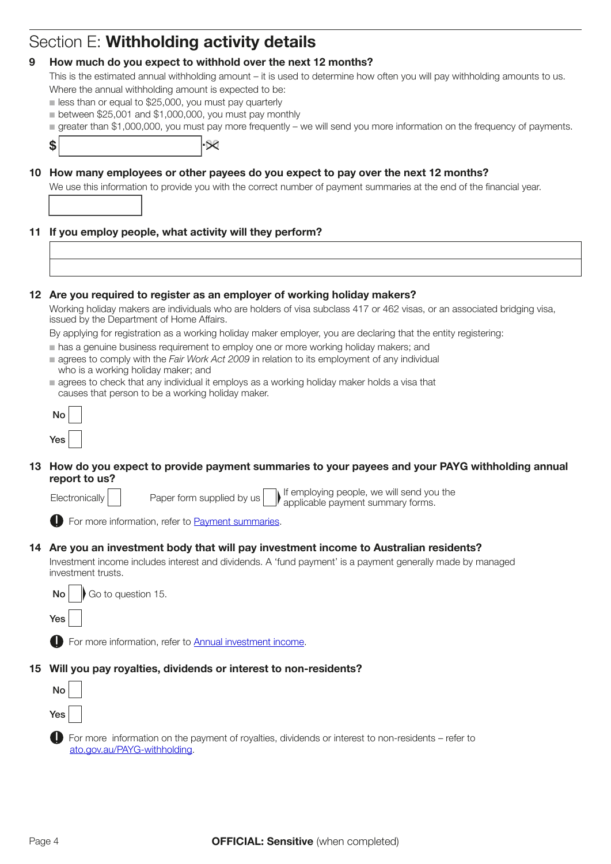## Section E: Withholding activity details

## 9 How much do you expect to withhold over the next 12 months?

This is the estimated annual withholding amount – it is used to determine how often you will pay withholding amounts to us.

- Where the annual withholding amount is expected to be:
- $\blacksquare$  less than or equal to \$25,000, you must pay quarterly
- $\blacksquare$  between \$25,001 and \$1,000,000, you must pay monthly
- n greater than \$1,000,000, you must pay more frequently we will send you more information on the frequency of payments.

 $\frac{1}{\sqrt{2}}$  .  $\frac{1}{\sqrt{2}}$ 

,

## 10 How many employees or other payees do you expect to pay over the next 12 months?

We use this information to provide you with the correct number of payment summaries at the end of the financial year.

## 11 If you employ people, what activity will they perform?

#### 12 Are you required to register as an employer of working holiday makers?

Working holiday makers are individuals who are holders of visa subclass 417 or 462 visas, or an associated bridging visa, issued by the Department of Home Affairs.

By applying for registration as a working holiday maker employer, you are declaring that the entity registering:

- n has a genuine business requirement to employ one or more working holiday makers; and
- n agrees to comply with the *Fair Work Act 2009* in relation to its employment of any individual who is a working holiday maker; and
- n agrees to check that any individual it employs as a working holiday maker holds a visa that causes that person to be a working holiday maker.

| b   |  |
|-----|--|
| Yes |  |

### 13 How do you expect to provide payment summaries to your payees and your PAYG withholding annual report to us?

Electronically Paper form supplied by us  $\bigcap$  If employing people, we will send you the applicable payment summary forms.

For more information, refer to [Payment summaries](https://www.ato.gov.au/Forms/PAYG-payment-summaries--forms-and-guidelines/).

### 14 Are you an investment body that will pay investment income to Australian residents?

Investment income includes interest and dividends. A 'fund payment' is a payment generally made by managed investment trusts.



**D** For more information, refer to [Annual investment income.](https://www.ato.gov.au/Business/Third-party-reporting/Annual-investment-income-report/)

### 15 Will you pay royalties, dividends or interest to non-residents?



**D** For more information on the payment of royalties, dividends or interest to non-residents – refer to [ato.gov.au/PAYG-withholding.](https://www.ato.gov.au/PAYG-withholding)